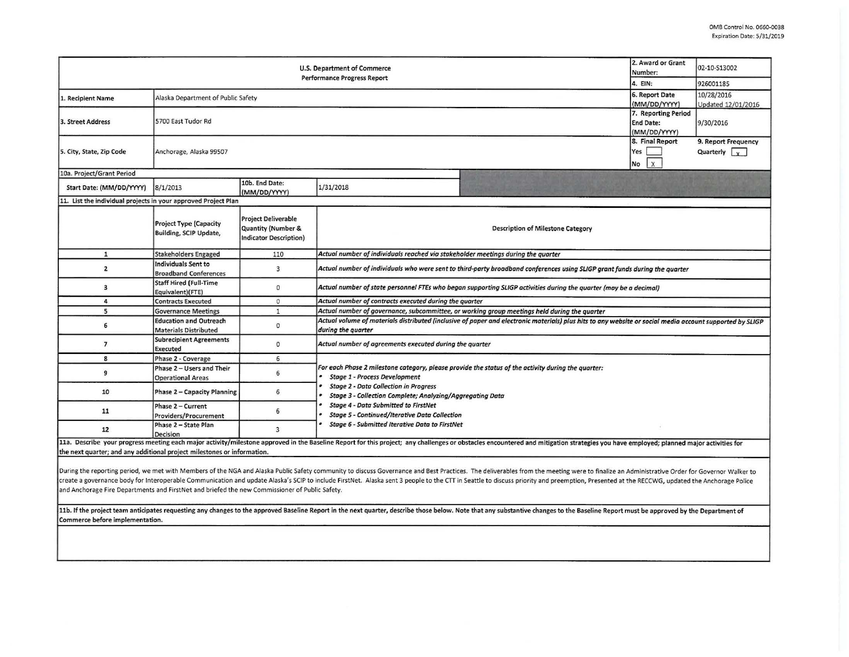| U.S. Department of Commerce<br><b>Performance Progress Report</b>       |                                                                |                                                                            |                                                                                                                                                                                                                                                         |                                          | 2. Award or Grant<br>Number:                            | 02-10-S13002                                |  |  |
|-------------------------------------------------------------------------|----------------------------------------------------------------|----------------------------------------------------------------------------|---------------------------------------------------------------------------------------------------------------------------------------------------------------------------------------------------------------------------------------------------------|------------------------------------------|---------------------------------------------------------|---------------------------------------------|--|--|
|                                                                         |                                                                |                                                                            |                                                                                                                                                                                                                                                         |                                          | 4. EIN:                                                 | 926001185                                   |  |  |
| 1. Recipient Name                                                       | Alaska Department of Public Safety                             |                                                                            |                                                                                                                                                                                                                                                         |                                          | 6. Report Date<br>(MM/DD/YYYY)                          | 10/28/2016<br>Updated 12/01/2016            |  |  |
| 3. Street Address                                                       | 5700 East Tudor Rd                                             |                                                                            |                                                                                                                                                                                                                                                         |                                          | 7. Reporting Period<br><b>End Date:</b><br>(MM/DD/YYYY) | 9/30/2016                                   |  |  |
| 5. City, State, Zip Code                                                | 8. Final Report<br>Yes<br>Anchorage, Alaska 99507<br>No.       |                                                                            |                                                                                                                                                                                                                                                         |                                          |                                                         | 9. Report Frequency<br>Quarterly $\sqrt{v}$ |  |  |
| 10a. Project/Grant Period                                               |                                                                |                                                                            |                                                                                                                                                                                                                                                         |                                          |                                                         |                                             |  |  |
| Start Date: (MM/DD/YYYY)                                                | 8/1/2013                                                       | 10b. End Date:<br>(MM/DD/YYYY)                                             | 1/31/2018                                                                                                                                                                                                                                               |                                          |                                                         |                                             |  |  |
| 11. List the individual projects in your approved Project Plan          |                                                                |                                                                            |                                                                                                                                                                                                                                                         |                                          |                                                         |                                             |  |  |
|                                                                         | <b>Project Type (Capacity</b><br><b>Building, SCIP Update,</b> | <b>Project Deliverable</b><br>Quantity (Number &<br>Indicator Description) |                                                                                                                                                                                                                                                         | <b>Description of Milestone Category</b> |                                                         |                                             |  |  |
| $\mathbf{1}$                                                            | <b>Stakeholders Engaged</b>                                    | 110                                                                        | Actual number of individuals reached via stakeholder meetings during the quarter                                                                                                                                                                        |                                          |                                                         |                                             |  |  |
| $\overline{2}$                                                          | Individuals Sent to<br><b>Broadband Conferences</b>            | $\overline{3}$                                                             | Actual number of individuals who were sent to third-party broadband conferences using SLIGP grant funds during the quarter                                                                                                                              |                                          |                                                         |                                             |  |  |
| 3                                                                       | <b>Staff Hired (Full-Time</b><br>Equivalent)(FTE)              | $\mathbf{0}$                                                               | Actual number of state personnel FTEs who began supporting SLIGP activities during the quarter (may be a decimal)                                                                                                                                       |                                          |                                                         |                                             |  |  |
| 4                                                                       | <b>Contracts Executed</b>                                      | $\mathbf{0}$                                                               | Actual number of contracts executed during the quarter                                                                                                                                                                                                  |                                          |                                                         |                                             |  |  |
| 5                                                                       | <b>Governance Meetings</b>                                     | $\mathbf{1}$                                                               | Actual number of governance, subcommittee, or working group meetings held during the quarter                                                                                                                                                            |                                          |                                                         |                                             |  |  |
| 6                                                                       | <b>Education and Outreach</b><br><b>Materials Distributed</b>  | $\mathbf{0}$                                                               | Actual volume of materials distributed (inclusive of paper and electronic materials) plus hits to any website or social media account supported by SLIGP<br>during the quarter                                                                          |                                          |                                                         |                                             |  |  |
| $\overline{7}$                                                          | <b>Subrecipient Agreements</b><br><b>Executed</b>              | $\mathbf{0}$                                                               | Actual number of agreements executed during the quarter                                                                                                                                                                                                 |                                          |                                                         |                                             |  |  |
| 8                                                                       | Phase 2 - Coverage                                             | 6                                                                          |                                                                                                                                                                                                                                                         |                                          |                                                         |                                             |  |  |
| 9                                                                       | Phase 2 - Users and Their<br><b>Operational Areas</b>          | 6                                                                          | For each Phase 2 milestone category, please provide the status of the activity during the quarter:<br><b>Stage 1 - Process Development</b><br><b>Stage 2 - Data Collection in Progress</b><br>Stage 3 - Collection Complete; Analyzing/Aggregating Data |                                          |                                                         |                                             |  |  |
| 10                                                                      | Phase 2 - Capacity Planning                                    | 6                                                                          |                                                                                                                                                                                                                                                         |                                          |                                                         |                                             |  |  |
| 11                                                                      | Phase 2 - Current<br>Providers/Procurement                     | 6                                                                          | <b>Stage 4 - Data Submitted to FirstNet</b><br><b>Stage 5 - Continued/Iterative Data Collection</b>                                                                                                                                                     |                                          |                                                         |                                             |  |  |
| 12                                                                      | Phase 2 - State Plan<br><b>Decision</b>                        | $\overline{3}$                                                             | <b>Stage 6 - Submitted Iterative Data to FirstNet</b>                                                                                                                                                                                                   |                                          |                                                         |                                             |  |  |
| the next quarter; and any additional project milestones or information. |                                                                |                                                                            | 11a. Describe your progress meeting each major activity/milestone approved in the Baseline Report for this project; any challenges or obstacles encountered and mitigation strategies you have employed; planned major activit                          |                                          |                                                         |                                             |  |  |

During the reporting period, we met with Members of the NGA and Alaska Public Safety community to discuss Governance and Best Practices. The deliverables from the meeting were to finalize an Administrative Order for Govern create a governance body for Interoperable Communication and update Alaska's SCIP to include FirstNet. Alaska sent 3 people to the CTT in Seattle to discuss priority and preemption, Presented at the RECCWG, updated the Anc and Anchorage Fire Departments and FirstNet and briefed the new Commissioner of Public Safety.

11b. If the project team anticipates requesting any changes to the approved Baseline Report in the next quarter, describe those below. Note that any substantive changes to the Baseline Report must be approved by the Depart Commerce before implementation.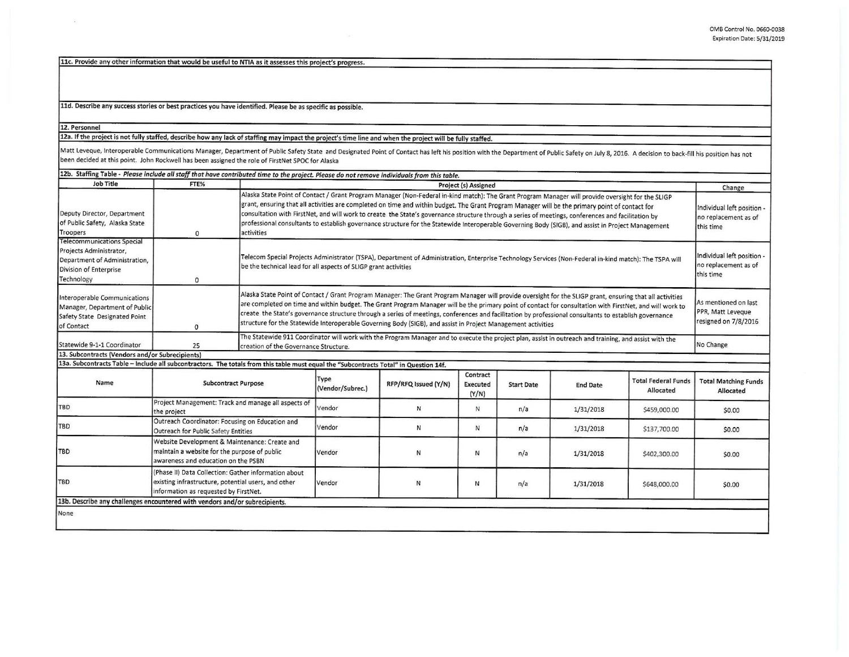11c. Provide any other information that would be useful to NTIA as it assesses this project's progress.

11d. Describe any success stories or best practices you have identified. Please be as specific as possible.

## 12. Personnel

12a. If the oroject is not fully staffed, describe how any lack of staffing mav impact the project's time line and when the proiect **will be** fully staffed.

Matt Leveque, Interoperable Communications Manager, Department of Public Safety State and Designated Point of Contact has left his position with the Department of Public Safety on July 8, 2016. A decision to back-fill his been decided at this point. John Rockwell has been assigned the role of FirstNet SPOC for Alaska

| 12b. Staffing Table - Please include all staff that have contributed time to the project. Please do not remove individuals from this table. |                                                                                                                                                      |                                                                                                                                                                                                                                                                                                                                                                                                                                                                                                                                                                                                                                |                                                                                                                                                                                                                                                                                                                                                                                                                                                                                                                                                                                                 |                      |                               |                   |                                                                 |                                                                 |                                                                   |
|---------------------------------------------------------------------------------------------------------------------------------------------|------------------------------------------------------------------------------------------------------------------------------------------------------|--------------------------------------------------------------------------------------------------------------------------------------------------------------------------------------------------------------------------------------------------------------------------------------------------------------------------------------------------------------------------------------------------------------------------------------------------------------------------------------------------------------------------------------------------------------------------------------------------------------------------------|-------------------------------------------------------------------------------------------------------------------------------------------------------------------------------------------------------------------------------------------------------------------------------------------------------------------------------------------------------------------------------------------------------------------------------------------------------------------------------------------------------------------------------------------------------------------------------------------------|----------------------|-------------------------------|-------------------|-----------------------------------------------------------------|-----------------------------------------------------------------|-------------------------------------------------------------------|
| Job Title                                                                                                                                   | FTE%                                                                                                                                                 | Project (s) Assigned                                                                                                                                                                                                                                                                                                                                                                                                                                                                                                                                                                                                           |                                                                                                                                                                                                                                                                                                                                                                                                                                                                                                                                                                                                 |                      |                               |                   | Change                                                          |                                                                 |                                                                   |
| Deputy Director, Department<br>of Public Safety, Alaska State<br>Troopers<br><b>Telecommunications Special</b>                              | $\mathbf 0$                                                                                                                                          | Alaska State Point of Contact / Grant Program Manager (Non-Federal in-kind match): The Grant Program Manager will provide oversight for the SLIGP<br>grant, ensuring that all activities are completed on time and within budget. The Grant Program Manager will be the primary point of contact for<br>consultation with FirstNet, and will work to create the State's governance structure through a series of meetings, conferences and facilitation by<br>professional consultants to establish governance structure for the Statewide Interoperable Governing Body (SIGB), and assist in Project Management<br>activities |                                                                                                                                                                                                                                                                                                                                                                                                                                                                                                                                                                                                 |                      |                               |                   | Individual left position -<br>no replacement as of<br>this time |                                                                 |                                                                   |
| Projects Administrator,<br>Department of Administration,<br>Division of Enterprise<br>Technology                                            | $\mathbf 0$                                                                                                                                          | Telecom Special Projects Administrator (TSPA), Department of Administration, Enterprise Technology Services (Non-Federal in-kind match): The TSPA will<br>be the technical lead for all aspects of SLIGP grant activities                                                                                                                                                                                                                                                                                                                                                                                                      |                                                                                                                                                                                                                                                                                                                                                                                                                                                                                                                                                                                                 |                      |                               |                   |                                                                 | Individual left position -<br>no replacement as of<br>this time |                                                                   |
| Interoperable Communications<br>Manager, Department of Public<br>Safety State Designated Point<br>of Contact                                | $\mathbf{0}$                                                                                                                                         |                                                                                                                                                                                                                                                                                                                                                                                                                                                                                                                                                                                                                                | Alaska State Point of Contact / Grant Program Manager: The Grant Program Manager will provide oversight for the SLIGP grant, ensuring that all activities<br>are completed on time and within budget. The Grant Program Manager will be the primary point of contact for consultation with FirstNet, and will work to<br>create the State's governance structure through a series of meetings, conferences and facilitation by professional consultants to establish governance<br>structure for the Statewide Interoperable Governing Body (SIGB), and assist in Project Management activities |                      |                               |                   |                                                                 |                                                                 | As mentioned on last<br>PPR, Matt Leveque<br>resigned on 7/8/2016 |
| Statewide 9-1-1 Coordinator                                                                                                                 | 25                                                                                                                                                   | The Statewide 911 Coordinator will work with the Program Manager and to execute the project plan, assist in outreach and training, and assist with the<br>creation of the Governance Structure.                                                                                                                                                                                                                                                                                                                                                                                                                                |                                                                                                                                                                                                                                                                                                                                                                                                                                                                                                                                                                                                 |                      |                               |                   |                                                                 | No Change                                                       |                                                                   |
| 13. Subcontracts (Vendors and/or Subrecipients)                                                                                             |                                                                                                                                                      |                                                                                                                                                                                                                                                                                                                                                                                                                                                                                                                                                                                                                                |                                                                                                                                                                                                                                                                                                                                                                                                                                                                                                                                                                                                 |                      |                               |                   |                                                                 |                                                                 |                                                                   |
| 13a. Subcontracts Table - Include all subcontractors. The totals from this table must equal the "Subcontracts Total" in Question 14f.       |                                                                                                                                                      |                                                                                                                                                                                                                                                                                                                                                                                                                                                                                                                                                                                                                                |                                                                                                                                                                                                                                                                                                                                                                                                                                                                                                                                                                                                 |                      |                               |                   |                                                                 |                                                                 |                                                                   |
| Name                                                                                                                                        | <b>Subcontract Purpose</b>                                                                                                                           |                                                                                                                                                                                                                                                                                                                                                                                                                                                                                                                                                                                                                                | Type<br>(Vendor/Subrec.)                                                                                                                                                                                                                                                                                                                                                                                                                                                                                                                                                                        | RFP/RFQ Issued (Y/N) | Contract<br>Executed<br>(Y/N) | <b>Start Date</b> | <b>End Date</b>                                                 | <b>Total Federal Funds</b><br>Allocated                         | <b>Total Matching Funds</b><br>Allocated                          |
| <b>TBD</b>                                                                                                                                  | Project Management: Track and manage all aspects of<br>the project                                                                                   |                                                                                                                                                                                                                                                                                                                                                                                                                                                                                                                                                                                                                                | Vendor                                                                                                                                                                                                                                                                                                                                                                                                                                                                                                                                                                                          | N                    | N                             | n/a               | 1/31/2018                                                       | \$459,000.00                                                    | \$0.00                                                            |
| <b>TBD</b>                                                                                                                                  | Outreach Coordinator: Focusing on Education and<br>Outreach for Public Safety Entities                                                               |                                                                                                                                                                                                                                                                                                                                                                                                                                                                                                                                                                                                                                | Vendor                                                                                                                                                                                                                                                                                                                                                                                                                                                                                                                                                                                          | N                    | N                             | n/a               | 1/31/2018                                                       | \$137,700.00                                                    | \$0.00                                                            |
| <b>TBD</b>                                                                                                                                  | Website Development & Maintenance: Create and<br>maintain a website for the purpose of public<br>awareness and education on the PSBN                 |                                                                                                                                                                                                                                                                                                                                                                                                                                                                                                                                                                                                                                | Vendor                                                                                                                                                                                                                                                                                                                                                                                                                                                                                                                                                                                          | N                    | N                             | n/a               | 1/31/2018                                                       | \$402,300.00                                                    | \$0.00                                                            |
| TBD                                                                                                                                         | (Phase II) Data Collection: Gather information about<br>existing infrastructure, potential users, and other<br>information as requested by FirstNet. |                                                                                                                                                                                                                                                                                                                                                                                                                                                                                                                                                                                                                                | Vendor                                                                                                                                                                                                                                                                                                                                                                                                                                                                                                                                                                                          | N                    | N                             | n/a               | 1/31/2018                                                       | \$648,000.00                                                    | \$0.00                                                            |
| 13b. Describe any challenges encountered with vendors and/or subrecipients.                                                                 |                                                                                                                                                      |                                                                                                                                                                                                                                                                                                                                                                                                                                                                                                                                                                                                                                |                                                                                                                                                                                                                                                                                                                                                                                                                                                                                                                                                                                                 |                      |                               |                   |                                                                 |                                                                 |                                                                   |
| None                                                                                                                                        |                                                                                                                                                      |                                                                                                                                                                                                                                                                                                                                                                                                                                                                                                                                                                                                                                |                                                                                                                                                                                                                                                                                                                                                                                                                                                                                                                                                                                                 |                      |                               |                   |                                                                 |                                                                 |                                                                   |